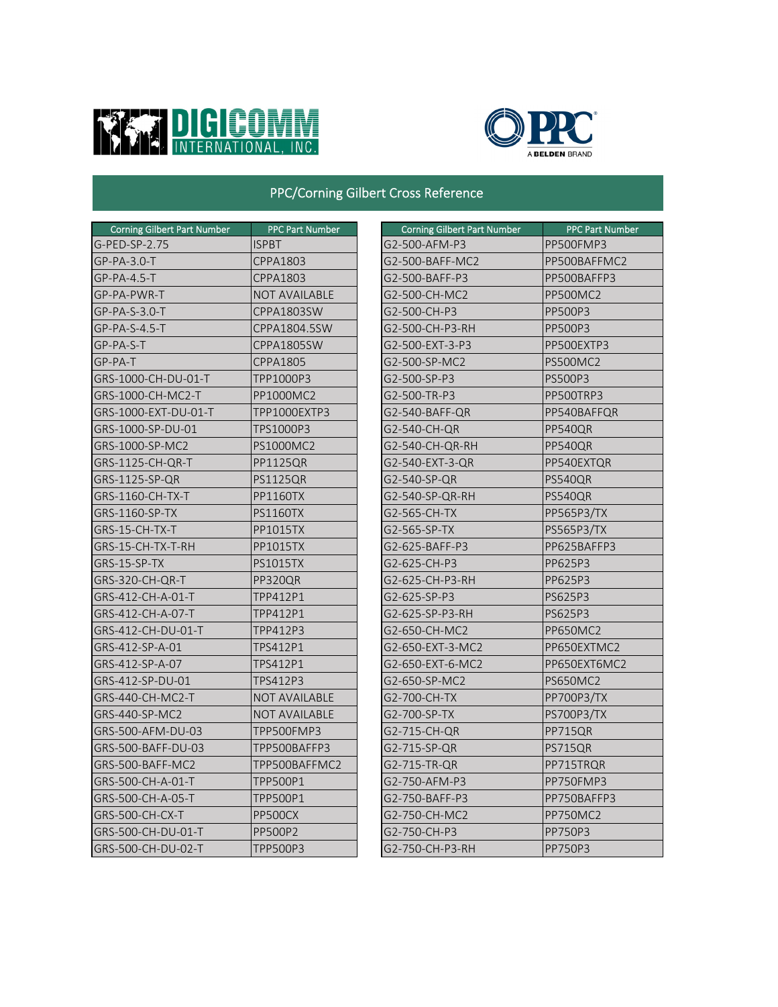



## PPC/Corning Gilbert Cross Reference

| <b>Corning Gilbert Part Number</b> | <b>PPC Part Number</b> | <b>Corning Gilbert Part Number</b> | <b>PPC Part Numb</b> |
|------------------------------------|------------------------|------------------------------------|----------------------|
| G-PED-SP-2.75                      | <b>ISPBT</b>           | G2-500-AFM-P3                      | PP500FMP3            |
| $GP-PA-3.0-T$                      | <b>CPPA1803</b>        | G2-500-BAFF-MC2                    | PP500BAFFMC2         |
| $GP-PA-4.5-T$                      | <b>CPPA1803</b>        | G2-500-BAFF-P3                     | PP500BAFFP3          |
| GP-PA-PWR-T                        | <b>NOT AVAILABLE</b>   | G2-500-CH-MC2                      | <b>PP500MC2</b>      |
| GP-PA-S-3.0-T                      | CPPA1803SW             | G2-500-CH-P3                       | PP500P3              |
| $GP-PA-S-4.5-T$                    | CPPA1804.5SW           | G2-500-CH-P3-RH                    | PP500P3              |
| GP-PA-S-T                          | CPPA1805SW             | G2-500-EXT-3-P3                    | PP500EXTP3           |
| GP-PA-T                            | <b>CPPA1805</b>        | G2-500-SP-MC2                      | <b>PS500MC2</b>      |
| GRS-1000-CH-DU-01-T                | TPP1000P3              | G2-500-SP-P3                       | <b>PS500P3</b>       |
| GRS-1000-CH-MC2-T                  | PP1000MC2              | G2-500-TR-P3                       | PP500TRP3            |
| GRS-1000-EXT-DU-01-T               | TPP1000EXTP3           | G2-540-BAFF-QR                     | PP540BAFFQR          |
| GRS-1000-SP-DU-01                  | TPS1000P3              | G2-540-CH-QR                       | PP540QR              |
| GRS-1000-SP-MC2                    | <b>PS1000MC2</b>       | G2-540-CH-QR-RH                    | <b>PP540QR</b>       |
| GRS-1125-CH-QR-T                   | PP1125QR               | G2-540-EXT-3-QR                    | PP540EXTQR           |
| GRS-1125-SP-QR                     | <b>PS1125QR</b>        | G2-540-SP-QR                       | PS540QR              |
| GRS-1160-CH-TX-T                   | <b>PP1160TX</b>        | G2-540-SP-QR-RH                    | <b>PS540QR</b>       |
| <b>GRS-1160-SP-TX</b>              | <b>PS1160TX</b>        | G2-565-CH-TX                       | <b>PP565P3/TX</b>    |
| GRS-15-CH-TX-T                     | <b>PP1015TX</b>        | G2-565-SP-TX                       | <b>PS565P3/TX</b>    |
| GRS-15-CH-TX-T-RH                  | <b>PP1015TX</b>        | G2-625-BAFF-P3                     | PP625BAFFP3          |
| GRS-15-SP-TX                       | <b>PS1015TX</b>        | G2-625-CH-P3                       | PP625P3              |
| GRS-320-CH-QR-T                    | PP320QR                | G2-625-CH-P3-RH                    | PP625P3              |
| GRS-412-CH-A-01-T                  | TPP412P1               | G2-625-SP-P3                       | PS625P3              |
| GRS-412-CH-A-07-T                  | TPP412P1               | G2-625-SP-P3-RH                    | PS625P3              |
| IGRS-412-CH-DU-01-T                | TPP412P3               | G2-650-CH-MC2                      | <b>PP650MC2</b>      |
| GRS-412-SP-A-01                    | TPS412P1               | G2-650-EXT-3-MC2                   | PP650EXTMC2          |
| GRS-412-SP-A-07                    | TPS412P1               | G2-650-EXT-6-MC2                   | PP650EXT6MC2         |
| GRS-412-SP-DU-01                   | TPS412P3               | G2-650-SP-MC2                      | <b>PS650MC2</b>      |
| GRS-440-CH-MC2-T                   | <b>NOT AVAILABLE</b>   | G2-700-CH-TX                       | PP700P3/TX           |
| GRS-440-SP-MC2                     | <b>NOT AVAILABLE</b>   | G2-700-SP-TX                       | PS700P3/TX           |
| GRS-500-AFM-DU-03                  | TPP500FMP3             | G2-715-CH-QR                       | PP715QR              |
| GRS-500-BAFF-DU-03                 | TPP500BAFFP3           | G2-715-SP-QR                       | PS715QR              |
| GRS-500-BAFF-MC2                   | TPP500BAFFMC2          | G2-715-TR-QR                       | PP715TRQR            |
| GRS-500-CH-A-01-T                  | TPP500P1               | G2-750-AFM-P3                      | PP750FMP3            |
| GRS-500-CH-A-05-T                  | TPP500P1               | G2-750-BAFF-P3                     | PP750BAFFP3          |
| GRS-500-CH-CX-T                    | PP500CX                | G2-750-CH-MC2                      | PP750MC2             |
| GRS-500-CH-DU-01-T                 | <b>PP500P2</b>         | G2-750-CH-P3                       | PP750P3              |
| GRS-500-CH-DU-02-T                 | <b>TPP500P3</b>        | G2-750-CH-P3-RH                    | <b>PP750P3</b>       |

| <b>Corning Gilbert Part Number</b> | <b>PPC Part Number</b> | <b>Corning Gilbert Part Number</b> | <b>PPC Part Number</b> |
|------------------------------------|------------------------|------------------------------------|------------------------|
| <b>ED-SP-2.75</b>                  | <b>ISPBT</b>           | G2-500-AFM-P3                      | PP500FMP3              |
| PA-3.0-T                           | <b>CPPA1803</b>        | G2-500-BAFF-MC2                    | PP500BAFFMC2           |
| PA-4.5-T                           | <b>CPPA1803</b>        | G2-500-BAFF-P3                     | PP500BAFFP3            |
| PA-PWR-T                           | <b>NOT AVAILABLE</b>   | G2-500-CH-MC2                      | <b>PP500MC2</b>        |
| <b>PA-S-3.0-T</b>                  | CPPA1803SW             | G2-500-CH-P3                       | PP500P3                |
| PA-S-4.5-T                         | CPPA1804.5SW           | G2-500-CH-P3-RH                    | PP500P3                |
| PA-S-T                             | CPPA1805SW             | G2-500-EXT-3-P3                    | PP500EXTP3             |
| PA-T                               | <b>CPPA1805</b>        | G2-500-SP-MC2                      | <b>PS500MC2</b>        |
| S-1000-CH-DU-01-T                  | TPP1000P3              | G2-500-SP-P3                       | <b>PS500P3</b>         |
| S-1000-CH-MC2-T                    | PP1000MC2              | G2-500-TR-P3                       | PP500TRP3              |
| S-1000-EXT-DU-01-T                 | TPP1000EXTP3           | G2-540-BAFF-QR                     | PP540BAFFQR            |
| S-1000-SP-DU-01                    | TPS1000P3              | G2-540-CH-QR                       | <b>PP540QR</b>         |
| S-1000-SP-MC2                      | PS1000MC2              | G2-540-CH-QR-RH                    | PP540QR                |
| S-1125-CH-QR-T                     | <b>PP1125QR</b>        | G2-540-EXT-3-QR                    | PP540EXTQR             |
| $S-1125-SP-QR$                     | <b>PS1125QR</b>        | G2-540-SP-QR                       | PS540QR                |
| S-1160-CH-TX-T                     | <b>PP1160TX</b>        | G2-540-SP-QR-RH                    | <b>PS540QR</b>         |
| $S-1160-SP-TX$                     | <b>PS1160TX</b>        | G2-565-CH-TX                       | <b>PP565P3/TX</b>      |
| $S-15$ -CH-TX-T                    | <b>PP1015TX</b>        | G2-565-SP-TX                       | <b>PS565P3/TX</b>      |
| S-15-CH-TX-T-RH                    | <b>PP1015TX</b>        | G2-625-BAFF-P3                     | PP625BAFFP3            |
| $S-15-SP-TX$                       | <b>PS1015TX</b>        | G2-625-CH-P3                       | PP625P3                |
| S-320-CH-QR-T                      | PP320QR                | G2-625-CH-P3-RH                    | PP625P3                |
| S-412-CH-A-01-T                    | TPP412P1               | G2-625-SP-P3                       | PS625P3                |
| S-412-CH-A-07-T                    | TPP412P1               | G2-625-SP-P3-RH                    | PS625P3                |
| S-412-CH-DU-01-T                   | TPP412P3               | G2-650-CH-MC2                      | PP650MC2               |
| S-412-SP-A-01                      | TPS412P1               | G2-650-EXT-3-MC2                   | PP650EXTMC2            |
| S-412-SP-A-07                      | TPS412P1               | G2-650-EXT-6-MC2                   | PP650EXT6MC2           |
| S-412-SP-DU-01                     | TPS412P3               | G2-650-SP-MC2                      | <b>PS650MC2</b>        |
| S-440-CH-MC2-T                     | <b>NOT AVAILABLE</b>   | G2-700-CH-TX                       | PP700P3/TX             |
| S-440-SP-MC2                       | <b>NOT AVAILABLE</b>   | G2-700-SP-TX                       | PS700P3/TX             |
| S-500-AFM-DU-03                    | TPP500FMP3             | G2-715-CH-QR                       | PP715QR                |
| S-500-BAFF-DU-03                   | TPP500BAFFP3           | G2-715-SP-QR                       | PS715QR                |
| S-500-BAFF-MC2                     | TPP500BAFFMC2          | G2-715-TR-QR                       | PP715TRQR              |
| S-500-CH-A-01-T                    | TPP500P1               | G2-750-AFM-P3                      | PP750FMP3              |
| S-500-CH-A-05-T                    | TPP500P1               | G2-750-BAFF-P3                     | PP750BAFFP3            |
| S-500-CH-CX-T                      | PP500CX                | G2-750-CH-MC2                      | PP750MC2               |
| S-500-CH-DU-01-T                   | <b>PP500P2</b>         | G2-750-CH-P3                       | PP750P3                |
| S-500-CH-DU-02-T                   | <b>TPP500P3</b>        | G2-750-CH-P3-RH                    | <b>PP750P3</b>         |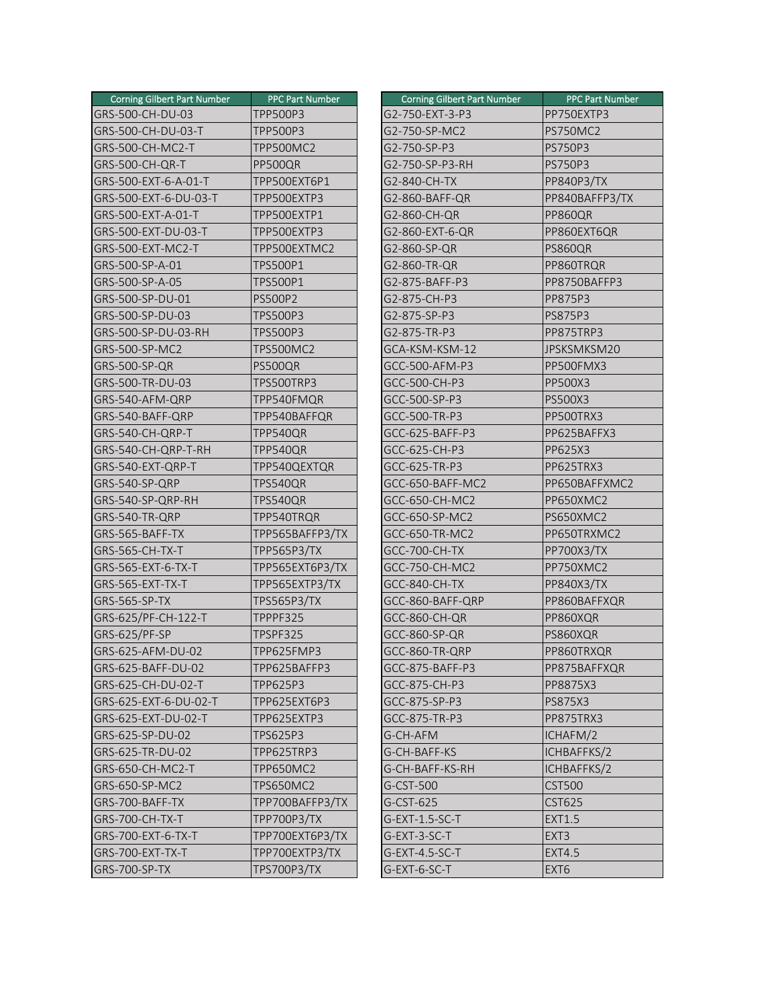| <b>Corning Gilbert Part Number</b> | <b>PPC Part Number</b> | <b>Corning Gilbert Part Number</b> | <b>PPC Part Number</b> |
|------------------------------------|------------------------|------------------------------------|------------------------|
| GRS-500-CH-DU-03                   | <b>TPP500P3</b>        | G2-750-EXT-3-P3                    | PP750EXTP3             |
| GRS-500-CH-DU-03-T                 | <b>TPP500P3</b>        | G2-750-SP-MC2                      | <b>PS750MC2</b>        |
| GRS-500-CH-MC2-T                   | <b>TPP500MC2</b>       | G2-750-SP-P3                       | <b>PS750P3</b>         |
| GRS-500-CH-QR-T                    | PP500QR                | G2-750-SP-P3-RH                    | <b>PS750P3</b>         |
| GRS-500-EXT-6-A-01-T               | TPP500EXT6P1           | G2-840-CH-TX                       | <b>PP840P3/TX</b>      |
| GRS-500-EXT-6-DU-03-T              | TPP500EXTP3            | G2-860-BAFF-QR                     | PP840BAFFP3/TX         |
| GRS-500-EXT-A-01-T                 | TPP500EXTP1            | G2-860-CH-QR                       | PP860QR                |
| GRS-500-EXT-DU-03-T                | TPP500EXTP3            | G2-860-EXT-6-QR                    | PP860EXT6QR            |
| GRS-500-EXT-MC2-T                  | TPP500EXTMC2           | G2-860-SP-QR                       | <b>PS860QR</b>         |
| GRS-500-SP-A-01                    | <b>TPS500P1</b>        | G2-860-TR-QR                       | PP860TRQR              |
| GRS-500-SP-A-05                    | <b>TPS500P1</b>        | G2-875-BAFF-P3                     | PP8750BAFFP3           |
| GRS-500-SP-DU-01                   | <b>PS500P2</b>         | G2-875-CH-P3                       | PP875P3                |
| GRS-500-SP-DU-03                   | <b>TPS500P3</b>        | G2-875-SP-P3                       | <b>PS875P3</b>         |
| GRS-500-SP-DU-03-RH                | <b>TPS500P3</b>        | G2-875-TR-P3                       | PP875TRP3              |
| GRS-500-SP-MC2                     | <b>TPS500MC2</b>       | GCA-KSM-KSM-12                     | JPSKSMKSM20            |
| GRS-500-SP-QR                      | PS500QR                | GCC-500-AFM-P3                     | PP500FMX3              |
| GRS-500-TR-DU-03                   | TPS500TRP3             | GCC-500-CH-P3                      | PP500X3                |
| GRS-540-AFM-QRP                    | TPP540FMQR             | GCC-500-SP-P3                      | PS500X3                |
| GRS-540-BAFF-QRP                   | TPP540BAFFQR           | GCC-500-TR-P3                      | PP500TRX3              |
| GRS-540-CH-QRP-T                   | TPP540QR               | GCC-625-BAFF-P3                    | PP625BAFFX3            |
| GRS-540-CH-QRP-T-RH                | TPP540QR               | GCC-625-CH-P3                      | PP625X3                |
| GRS-540-EXT-QRP-T                  | TPP540QEXTQR           | GCC-625-TR-P3                      | PP625TRX3              |
| GRS-540-SP-QRP                     | TPS540QR               | GCC-650-BAFF-MC2                   | PP650BAFFXMC2          |
| GRS-540-SP-QRP-RH                  | TPS540QR               | <b>GCC-650-CH-MC2</b>              | PP650XMC2              |
| GRS-540-TR-QRP                     | TPP540TRQR             | GCC-650-SP-MC2                     | PS650XMC2              |
| GRS-565-BAFF-TX                    | TPP565BAFFP3/TX        | GCC-650-TR-MC2                     | PP650TRXMC2            |
| GRS-565-CH-TX-T                    | TPP565P3/TX            | GCC-700-CH-TX                      | <b>PP700X3/TX</b>      |
| GRS-565-EXT-6-TX-T                 | TPP565EXT6P3/TX        | GCC-750-CH-MC2                     | PP750XMC2              |
| GRS-565-EXT-TX-T                   | TPP565EXTP3/TX         | GCC-840-CH-TX                      | <b>PP840X3/TX</b>      |
| GRS-565-SP-TX                      | <b>TPS565P3/TX</b>     | GCC-860-BAFF-QRP                   | PP860BAFFXQR           |
| GRS-625/PF-CH-122-T                | TPPPF325               | <b>GCC-860-CH-QR</b>               | PP860XQR               |
| GRS-625/PF-SP                      | TPSPF325               | GCC-860-SP-QR                      | PS860XQR               |
| GRS-625-AFM-DU-02                  | TPP625FMP3             | GCC-860-TR-QRP                     | PP860TRXQR             |
| GRS-625-BAFF-DU-02                 | TPP625BAFFP3           | GCC-875-BAFF-P3                    | PP875BAFFXQR           |
| GRS-625-CH-DU-02-T                 | TPP625P3               | GCC-875-CH-P3                      | PP8875X3               |
| GRS-625-EXT-6-DU-02-T              | TPP625EXT6P3           | GCC-875-SP-P3                      | PS875X3                |
| GRS-625-EXT-DU-02-T                | TPP625EXTP3            | GCC-875-TR-P3                      | PP875TRX3              |
| GRS-625-SP-DU-02                   | TPS625P3               | G-CH-AFM                           | ICHAFM/2               |
| GRS-625-TR-DU-02                   | TPP625TRP3             | G-CH-BAFF-KS                       | ICHBAFFKS/2            |
| GRS-650-CH-MC2-T                   | <b>TPP650MC2</b>       | G-CH-BAFF-KS-RH                    | ICHBAFFKS/2            |
| GRS-650-SP-MC2                     | <b>TPS650MC2</b>       | G-CST-500                          | <b>CST500</b>          |
| GRS-700-BAFF-TX                    | TPP700BAFFP3/TX        | G-CST-625                          | <b>CST625</b>          |
| GRS-700-CH-TX-T                    | TPP700P3/TX            | G-EXT-1.5-SC-T                     | <b>EXT1.5</b>          |
| GRS-700-EXT-6-TX-T                 | TPP700EXT6P3/TX        | G-EXT-3-SC-T                       | EXT <sub>3</sub>       |
| GRS-700-EXT-TX-T                   | TPP700EXTP3/TX         | G-EXT-4.5-SC-T                     | <b>EXT4.5</b>          |
| GRS-700-SP-TX                      | TPS700P3/TX            | G-EXT-6-SC-T                       | EXT <sub>6</sub>       |

| Corning Gilbert Part Number | <b>PPC Part Number</b> | <b>Corning Gilbert Part Number</b> | <b>PPC Part Number</b> |
|-----------------------------|------------------------|------------------------------------|------------------------|
| S-500-CH-DU-03              | <b>TPP500P3</b>        | G2-750-EXT-3-P3                    | PP750EXTP3             |
| S-500-CH-DU-03-T            | TPP500P3               | G2-750-SP-MC2                      | <b>PS750MC2</b>        |
| S-500-CH-MC2-T              | <b>TPP500MC2</b>       | G2-750-SP-P3                       | <b>PS750P3</b>         |
| S-500-CH-QR-T               | PP500QR                | G2-750-SP-P3-RH                    | PS750P3                |
| S-500-EXT-6-A-01-T          | TPP500EXT6P1           | G2-840-CH-TX                       | PP840P3/TX             |
| S-500-EXT-6-DU-03-T         | TPP500EXTP3            | G2-860-BAFF-QR                     | PP840BAFFP3/TX         |
| S-500-EXT-A-01-T            | TPP500EXTP1            | G2-860-CH-QR                       | PP860QR                |
| S-500-EXT-DU-03-T           | TPP500EXTP3            | G2-860-EXT-6-QR                    | PP860EXT6QR            |
| S-500-EXT-MC2-T             | TPP500EXTMC2           | G2-860-SP-QR                       | PS860QR                |
| $S-500-SP-A-01$             | TPS500P1               | G2-860-TR-QR                       | PP860TRQR              |
| S-500-SP-A-05               | TPS500P1               | G2-875-BAFF-P3                     | PP8750BAFFP3           |
| S-500-SP-DU-01              | <b>PS500P2</b>         | G2-875-CH-P3                       | PP875P3                |
| S-500-SP-DU-03              | TPS500P3               | G2-875-SP-P3                       | PS875P3                |
| S-500-SP-DU-03-RH           | <b>TPS500P3</b>        | G2-875-TR-P3                       | PP875TRP3              |
| S-500-SP-MC2                | <b>TPS500MC2</b>       | GCA-KSM-KSM-12                     | JPSKSMKSM20            |
| S-500-SP-QR                 | PS500QR                | GCC-500-AFM-P3                     | PP500FMX3              |
| S-500-TR-DU-03              | TPS500TRP3             | GCC-500-CH-P3                      | PP500X3                |
| S-540-AFM-QRP               | TPP540FMQR             | GCC-500-SP-P3                      | PS500X3                |
| S-540-BAFF-QRP              | TPP540BAFFQR           | GCC-500-TR-P3                      | PP500TRX3              |
| S-540-CH-QRP-T              | TPP540QR               | GCC-625-BAFF-P3                    | PP625BAFFX3            |
| S-540-CH-QRP-T-RH           | TPP540QR               | GCC-625-CH-P3                      | PP625X3                |
| S-540-EXT-QRP-T             | TPP540QEXTQR           | GCC-625-TR-P3                      | PP625TRX3              |
| S-540-SP-QRP                | TPS540QR               | GCC-650-BAFF-MC2                   | PP650BAFFXMC2          |
| S-540-SP-QRP-RH             | <b>TPS540QR</b>        | <b>GCC-650-CH-MC2</b>              | PP650XMC2              |
| S-540-TR-QRP                | TPP540TRQR             | GCC-650-SP-MC2                     | PS650XMC2              |
| S-565-BAFF-TX               | TPP565BAFFP3/TX        | GCC-650-TR-MC2                     | PP650TRXMC2            |
| S-565-CH-TX-T               | TPP565P3/TX            | GCC-700-CH-TX                      | PP700X3/TX             |
| S-565-EXT-6-TX-T            | TPP565EXT6P3/TX        | <b>GCC-750-CH-MC2</b>              | PP750XMC2              |
| S-565-EXT-TX-T              | TPP565EXTP3/TX         | GCC-840-CH-TX                      | PP840X3/TX             |
| $S-565-SP-TX$               | TPS565P3/TX            | GCC-860-BAFF-QRP                   | PP860BAFFXQR           |
| S-625/PF-CH-122-T           | TPPPF325               | GCC-860-CH-QR                      | PP860XQR               |
| S-625/PF-SP                 | TPSPF325               | GCC-860-SP-QR                      | PS860XQR               |
| S-625-AFM-DU-02             | TPP625FMP3             | GCC-860-TR-QRP                     | PP860TRXQR             |
| S-625-BAFF-DU-02            | TPP625BAFFP3           | GCC-875-BAFF-P3                    | PP875BAFFXQR           |
| S-625-CH-DU-02-T            | TPP625P3               | GCC-875-CH-P3                      | PP8875X3               |
| S-625-EXT-6-DU-02-T         | TPP625EXT6P3           | GCC-875-SP-P3                      | PS875X3                |
| S-625-EXT-DU-02-T           | TPP625EXTP3            | GCC-875-TR-P3                      | PP875TRX3              |
| S-625-SP-DU-02              | TPS625P3               | G-CH-AFM                           | ICHAFM/2               |
| S-625-TR-DU-02              | TPP625TRP3             | G-CH-BAFF-KS                       | ICHBAFFKS/2            |
| S-650-CH-MC2-T              | <b>TPP650MC2</b>       | G-CH-BAFF-KS-RH                    | ICHBAFFKS/2            |
| S-650-SP-MC2                | TPS650MC2              | G-CST-500                          | <b>CST500</b>          |
| S-700-BAFF-TX               | TPP700BAFFP3/TX        | G-CST-625                          | <b>CST625</b>          |
| S-700-CH-TX-T               | TPP700P3/TX            | G-EXT-1.5-SC-T                     | <b>EXT1.5</b>          |
| S-700-EXT-6-TX-T            | TPP700EXT6P3/TX        | G-EXT-3-SC-T                       | EXT <sub>3</sub>       |
| S-700-EXT-TX-T              | TPP700EXTP3/TX         | G-EXT-4.5-SC-T                     | <b>EXT4.5</b>          |
| S-700-SP-TX                 | TPS700P3/TX            | G-EXT-6-SC-T                       | EXT6                   |